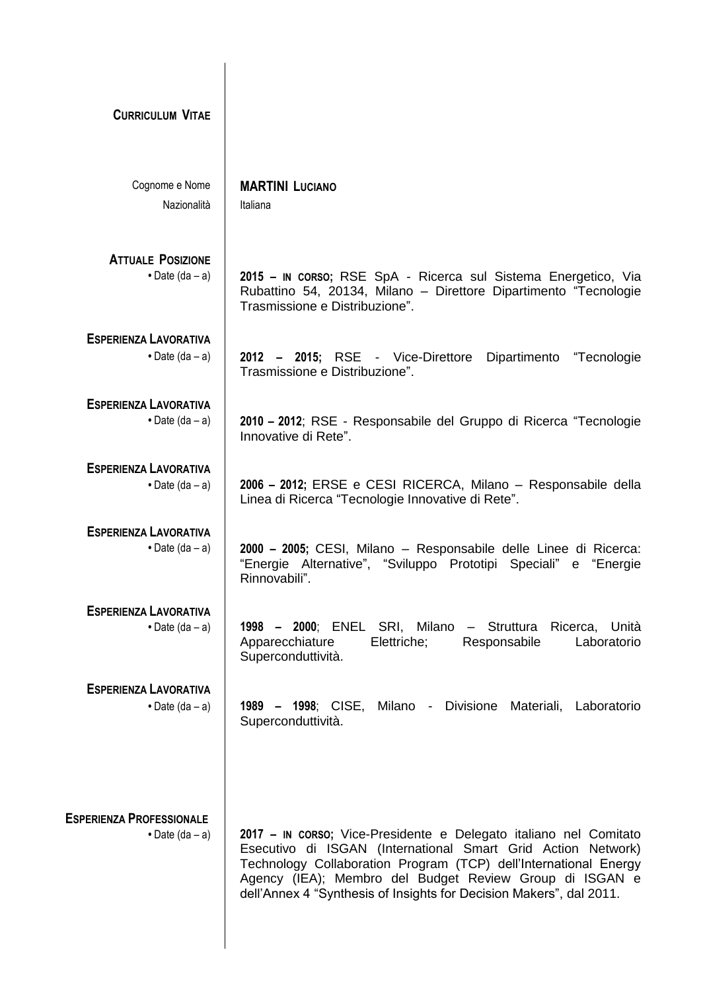| <b>CURRICULUM VITAE</b>                                    |                                                                                                                                                                                                                                                                                                                                         |
|------------------------------------------------------------|-----------------------------------------------------------------------------------------------------------------------------------------------------------------------------------------------------------------------------------------------------------------------------------------------------------------------------------------|
| Cognome e Nome<br>Nazionalità                              | <b>MARTINI LUCIANO</b><br>Italiana                                                                                                                                                                                                                                                                                                      |
| <b>ATTUALE POSIZIONE</b><br>$\bullet$ Date (da – a)        | 2015 – IN CORSO; RSE SpA - Ricerca sul Sistema Energetico, Via<br>Rubattino 54, 20134, Milano - Direttore Dipartimento "Tecnologie<br>Trasmissione e Distribuzione".                                                                                                                                                                    |
| <b>ESPERIENZA LAVORATIVA</b><br>$\bullet$ Date (da - a)    | 2012 - 2015; RSE - Vice-Direttore<br>Dipartimento<br>"Tecnologie<br>Trasmissione e Distribuzione".                                                                                                                                                                                                                                      |
| <b>ESPERIENZA LAVORATIVA</b><br>• Date $(da - a)$          | 2010 – 2012; RSE - Responsabile del Gruppo di Ricerca "Tecnologie<br>Innovative di Rete".                                                                                                                                                                                                                                               |
| <b>ESPERIENZA LAVORATIVA</b><br>$\bullet$ Date (da – a)    | 2006 - 2012; ERSE e CESI RICERCA, Milano - Responsabile della<br>Linea di Ricerca "Tecnologie Innovative di Rete".                                                                                                                                                                                                                      |
| <b>ESPERIENZA LAVORATIVA</b><br>• Date $(da - a)$          | 2000 - 2005; CESI, Milano - Responsabile delle Linee di Ricerca:<br>"Energie Alternative", "Sviluppo Prototipi Speciali" e "Energie<br>Rinnovabili".                                                                                                                                                                                    |
| <b>ESPERIENZA LAVORATIVA</b><br>$\bullet$ Date (da – a)    | 1998 - 2000; ENEL SRI, Milano - Struttura Ricerca, Unità<br>Apparecchiature<br>Elettriche;<br>Responsabile<br>Laboratorio<br>Superconduttività.                                                                                                                                                                                         |
| <b>ESPERIENZA LAVORATIVA</b><br>$\bullet$ Date (da – a)    | 1989 - 1998; CISE, Milano - Divisione Materiali, Laboratorio<br>Superconduttività.                                                                                                                                                                                                                                                      |
| <b>ESPERIENZA PROFESSIONALE</b><br>$\bullet$ Date (da – a) | 2017 – IN CORSO; Vice-Presidente e Delegato italiano nel Comitato<br>Esecutivo di ISGAN (International Smart Grid Action Network)<br>Technology Collaboration Program (TCP) dell'International Energy<br>Agency (IEA); Membro del Budget Review Group di ISGAN e<br>dell'Annex 4 "Synthesis of Insights for Decision Makers", dal 2011. |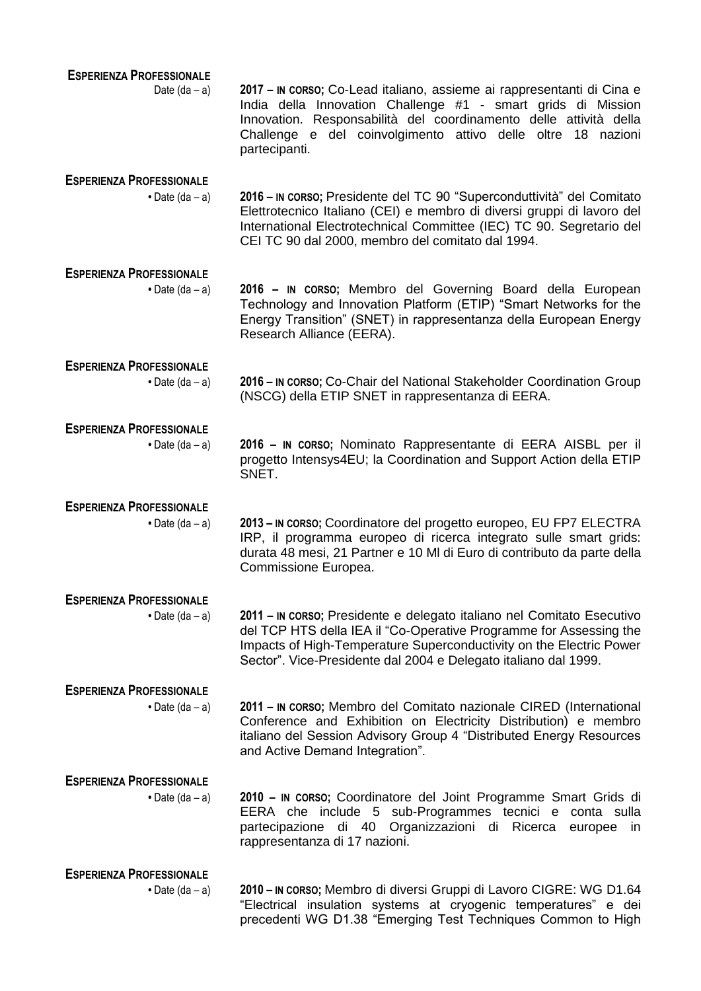| <b>ESPERIENZA PROFESSIONALE</b> |                                                                                                                                                                                                                                                                                              |
|---------------------------------|----------------------------------------------------------------------------------------------------------------------------------------------------------------------------------------------------------------------------------------------------------------------------------------------|
| Date $(da - a)$                 | 2017 – IN CORSO; Co-Lead italiano, assieme ai rappresentanti di Cina e<br>India della Innovation Challenge #1 - smart grids di Mission<br>Innovation. Responsabilità del coordinamento delle attività della<br>Challenge e del coinvolgimento attivo delle oltre 18 nazioni<br>partecipanti. |
| <b>ESPERIENZA PROFESSIONALE</b> |                                                                                                                                                                                                                                                                                              |
| $\bullet$ Date (da – a)         | 2016 – IN CORSO; Presidente del TC 90 "Superconduttività" del Comitato<br>Elettrotecnico Italiano (CEI) e membro di diversi gruppi di lavoro del<br>International Electrotechnical Committee (IEC) TC 90. Segretario del<br>CEI TC 90 dal 2000, membro del comitato dal 1994.                |
| <b>ESPERIENZA PROFESSIONALE</b> |                                                                                                                                                                                                                                                                                              |
| $\bullet$ Date (da – a)         | 2016 - IN CORSO; Membro del Governing Board della European<br>Technology and Innovation Platform (ETIP) "Smart Networks for the<br>Energy Transition" (SNET) in rappresentanza della European Energy<br>Research Alliance (EERA).                                                            |
| <b>ESPERIENZA PROFESSIONALE</b> |                                                                                                                                                                                                                                                                                              |
| $\bullet$ Date (da – a)         | 2016 - IN CORSO; Co-Chair del National Stakeholder Coordination Group<br>(NSCG) della ETIP SNET in rappresentanza di EERA.                                                                                                                                                                   |
| <b>ESPERIENZA PROFESSIONALE</b> |                                                                                                                                                                                                                                                                                              |
| $\bullet$ Date (da – a)         | 2016 - In CORSO; Nominato Rappresentante di EERA AISBL per il<br>progetto Intensys4EU; la Coordination and Support Action della ETIP<br>SNET.                                                                                                                                                |
| <b>ESPERIENZA PROFESSIONALE</b> |                                                                                                                                                                                                                                                                                              |
| $\bullet$ Date (da - a)         | 2013 - IN CORSO; Coordinatore del progetto europeo, EU FP7 ELECTRA<br>IRP, il programma europeo di ricerca integrato sulle smart grids:<br>durata 48 mesi, 21 Partner e 10 MI di Euro di contributo da parte della<br>Commissione Europea.                                                   |
| <b>ESPERIENZA PROFESSIONALE</b> |                                                                                                                                                                                                                                                                                              |
| $\bullet$ Date (da – a)         | 2011 – IN CORSO; Presidente e delegato italiano nel Comitato Esecutivo<br>del TCP HTS della IEA il "Co-Operative Programme for Assessing the<br>Impacts of High-Temperature Superconductivity on the Electric Power<br>Sector". Vice-Presidente dal 2004 e Delegato italiano dal 1999.       |
| <b>ESPERIENZA PROFESSIONALE</b> |                                                                                                                                                                                                                                                                                              |
| $\bullet$ Date (da – a)         | 2011 - IN CORSO; Membro del Comitato nazionale CIRED (International<br>Conference and Exhibition on Electricity Distribution) e membro<br>italiano del Session Advisory Group 4 "Distributed Energy Resources<br>and Active Demand Integration".                                             |
| <b>ESPERIENZA PROFESSIONALE</b> |                                                                                                                                                                                                                                                                                              |
| $\bullet$ Date (da – a)         | 2010 - IN CORSO; Coordinatore del Joint Programme Smart Grids di<br>EERA che include 5 sub-Programmes tecnici e conta sulla<br>partecipazione di 40 Organizzazioni di Ricerca<br>europee<br>in<br>rappresentanza di 17 nazioni.                                                              |
| <b>ESPERIENZA PROFESSIONALE</b> |                                                                                                                                                                                                                                                                                              |
| $\bullet$ Date (da – a)         | 2010 – IN CORSO; Membro di diversi Gruppi di Lavoro CIGRE: WG D1.64<br>"Electrical insulation systems at cryogenic temperatures" e dei<br>precedenti WG D1.38 "Emerging Test Techniques Common to High                                                                                       |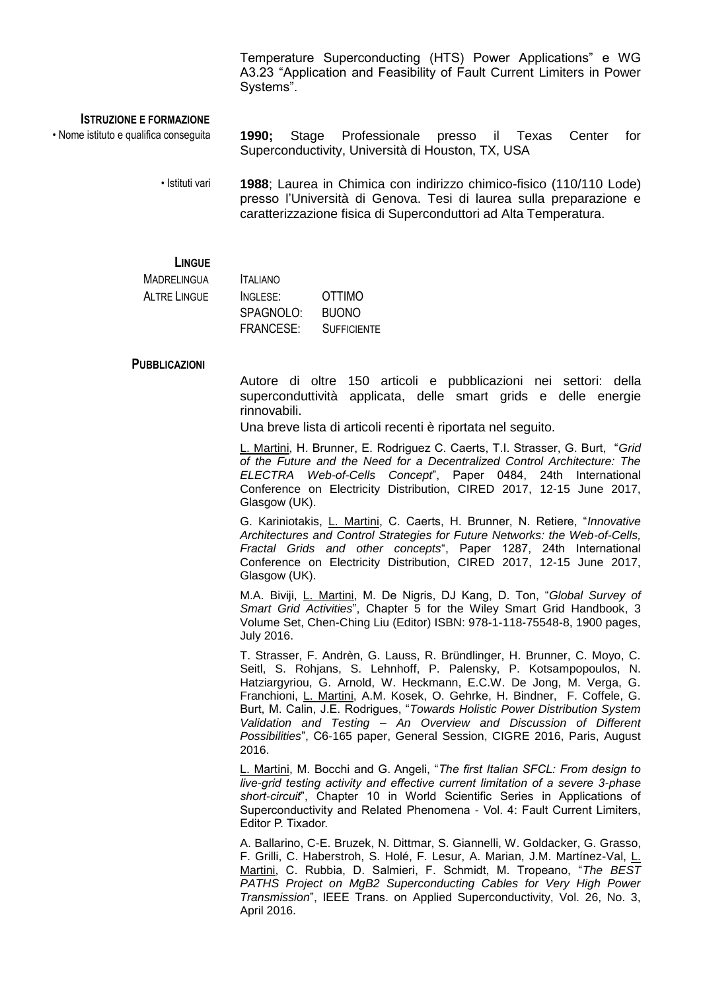Temperature Superconducting (HTS) Power Applications" e WG A3.23 "Application and Feasibility of Fault Current Limiters in Power Systems".

## **ISTRUZIONE E FORMAZIONE**

• Nome istituto e qualifica conseguita **1990;** Stage Professionale presso il Texas Center for Superconductivity, Università di Houston, TX, USA

> • Istituti vari **1988**; Laurea in Chimica con indirizzo chimico-fisico (110/110 Lode) presso l'Università di Genova. Tesi di laurea sulla preparazione e caratterizzazione fisica di Superconduttori ad Alta Temperatura.

## **LINGUE**

| MADREI INGUA  | <b>ITAI IANO</b> |                    |
|---------------|------------------|--------------------|
| AI TRF LINGUF | INGISE:          | <b>OTTIMO</b>      |
|               | SPAGNOLO:        | <b>BUONO</b>       |
|               | FRANCESE:        | <b>SUFFICIENTE</b> |

## **PUBBLICAZIONI**

Autore di oltre 150 articoli e pubblicazioni nei settori: della superconduttività applicata, delle smart grids e delle energie rinnovabili.

Una breve lista di articoli recenti è riportata nel seguito.

L. Martini, H. Brunner, E. Rodriguez C. Caerts, T.I. Strasser, G. Burt, "*Grid of the Future and the Need for a Decentralized Control Architecture: The ELECTRA Web-of-Cells Concept*", Paper 0484, 24th International Conference on Electricity Distribution, CIRED 2017, 12-15 June 2017, Glasgow (UK).

G. Kariniotakis, L. Martini, C. Caerts, H. Brunner, N. Retiere, "*Innovative Architectures and Control Strategies for Future Networks: the Web-of-Cells, Fractal Grids and other concepts*", Paper 1287, 24th International Conference on Electricity Distribution, CIRED 2017, 12-15 June 2017, Glasgow (UK).

M.A. Biviji, L. Martini, M. De Nigris, DJ Kang, D. Ton, "*Global Survey of Smart Grid Activities*", Chapter 5 for the Wiley Smart Grid Handbook, 3 Volume Set, Chen-Ching Liu (Editor) ISBN: 978-1-118-75548-8, 1900 pages, July 2016.

T. Strasser, F. Andrèn, G. Lauss, R. Bründlinger, H. Brunner, C. Moyo, C. Seitl, S. Rohjans, S. Lehnhoff, P. Palensky, P. Kotsampopoulos, N. Hatziargyriou, G. Arnold, W. Heckmann, E.C.W. De Jong, M. Verga, G. Franchioni, L. Martini, A.M. Kosek, O. Gehrke, H. Bindner, F. Coffele, G. Burt, M. Calin, J.E. Rodrigues, "*Towards Holistic Power Distribution System Validation and Testing – An Overview and Discussion of Different Possibilities*", C6-165 paper, General Session, CIGRE 2016, Paris, August 2016.

L. Martini, M. Bocchi and G. Angeli, "*The first Italian SFCL: From design to live-grid testing activity and effective current limitation of a severe 3-phase short-circuit*", Chapter 10 in World Scientific Series in Applications of Superconductivity and Related Phenomena - Vol. 4: Fault Current Limiters, Editor P. Tixador.

A. Ballarino, C-E. Bruzek, N. Dittmar, S. Giannelli, W. Goldacker, G. Grasso, F. Grilli, C. Haberstroh, S. Holé, F. Lesur, A. Marian, J.M. Martínez-Val, L. Martini, C. Rubbia, D. Salmieri, F. Schmidt, M. Tropeano, "*The BEST PATHS Project on MgB2 Superconducting Cables for Very High Power Transmission*", IEEE Trans. on Applied Superconductivity, Vol. 26, No. 3, April 2016.